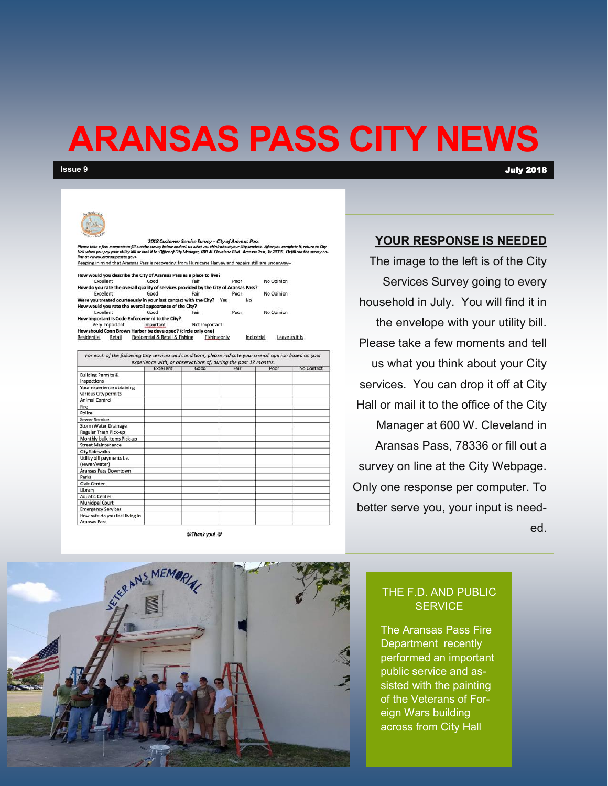## **ARANSAS PASS CITY NEWS**

**Issue 9** July 2018

### 2018 Customer Service Survey - City of Ara w moments to fill out the survey below and tell us what you think about your City services. After you complete it, ret<br>ay your utility bill or mail it to: Office of City Manager, 600 W. Cleveland Blvd. Aransas Pass, Tx 783 Keeping in mind that Aransas Pass is recovering from Hurricane Harvey and repairs still are underway-Id you describe the City of Aransas Pass as a place to live?

Excellent Good Poor No Opinion do you rate the overall quality of services provided by the City of Aransas Pass?<br>Excellent Good Fair Poor No Opinion Were you treated courteously in your last contact with the City? Yes No but conclude the overall appearance of the City?<br>Excellent Good Fai No Opinion Excellent Fair Poor mportant is Code Enforcement to the City? Very Important Important Mot Important<br>How should Conn Brown Harbor be developed? (circle only one)

Residential Retail Residential & Retail & Fishing **Fishing only** Industrial Leave as it is For each of the following City services and conditions, please indicate your overall opinion based on your

|                                                   | Excellent | Good | Fair | Poor | No Contact |
|---------------------------------------------------|-----------|------|------|------|------------|
|                                                   |           |      |      |      |            |
| <b>Building Permits &amp;</b><br>Inspections      |           |      |      |      |            |
| Your experience obtaining<br>various City permits |           |      |      |      |            |
| Animal Control                                    |           |      |      |      |            |
| Fire                                              |           |      |      |      |            |
| Police                                            |           |      |      |      |            |
| Sewer Service                                     |           |      |      |      |            |
| <b>Storm Water Drainage</b>                       |           |      |      |      |            |
| Regular Trash Pick-up                             |           |      |      |      |            |
| Monthly bulk items Pick-up                        |           |      |      |      |            |
| <b>Street Maintenance</b>                         |           |      |      |      |            |
| <b>City Sidewalks</b>                             |           |      |      |      |            |
| Utility bill payments i.e.<br>(sewer/water)       |           |      |      |      |            |
| Aransas Pass Downtown                             |           |      |      |      |            |
| Parks                                             |           |      |      |      |            |
| <b>Civic Center</b>                               |           |      |      |      |            |
| Library                                           |           |      |      |      |            |
| <b>Aquatic Center</b>                             |           |      |      |      |            |
| Municipal Court                                   |           |      |      |      |            |
| <b>Emergency Services</b>                         |           |      |      |      |            |
| How safe do you feel living in                    |           |      |      |      |            |

@Thank you! @

### **YOUR RESPONSE IS NEEDED**

The image to the left is of the City Services Survey going to every household in July. You will find it in the envelope with your utility bill. Please take a few moments and tell us what you think about your City services. You can drop it off at City Hall or mail it to the office of the City Manager at 600 W. Cleveland in Aransas Pass, 78336 or fill out a survey on line at the City Webpage. Only one response per computer. To better serve you, your input is needed.

> THE F.D. AND PUBLIC **SERVICE**

The Aransas Pass Fire Department recently performed an important public service and assisted with the painting of the Veterans of Foreign Wars building across from City Hall

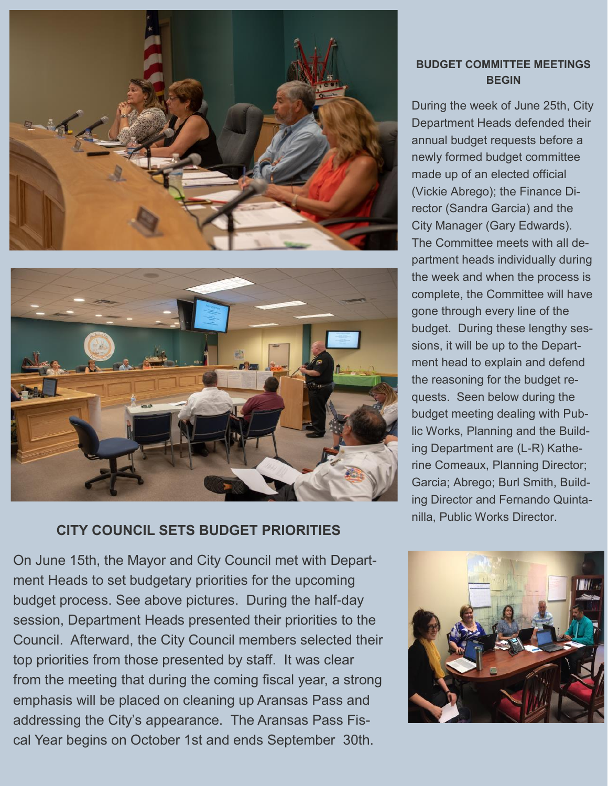



### **CITY COUNCIL SETS BUDGET PRIORITIES**

On June 15th, the Mayor and City Council met with Department Heads to set budgetary priorities for the upcoming budget process. See above pictures. During the half-day session, Department Heads presented their priorities to the Council. Afterward, the City Council members selected their top priorities from those presented by staff. It was clear from the meeting that during the coming fiscal year, a strong emphasis will be placed on cleaning up Aransas Pass and addressing the City's appearance. The Aransas Pass Fiscal Year begins on October 1st and ends September 30th.

### **BUDGET COMMITTEE MEETINGS BEGIN**

During the week of June 25th, City Department Heads defended their annual budget requests before a newly formed budget committee made up of an elected official (Vickie Abrego); the Finance Director (Sandra Garcia) and the City Manager (Gary Edwards). The Committee meets with all department heads individually during the week and when the process is complete, the Committee will have gone through every line of the budget. During these lengthy sessions, it will be up to the Department head to explain and defend the reasoning for the budget requests. Seen below during the budget meeting dealing with Public Works, Planning and the Building Department are (L-R) Katherine Comeaux, Planning Director; Garcia; Abrego; Burl Smith, Building Director and Fernando Quintanilla, Public Works Director.

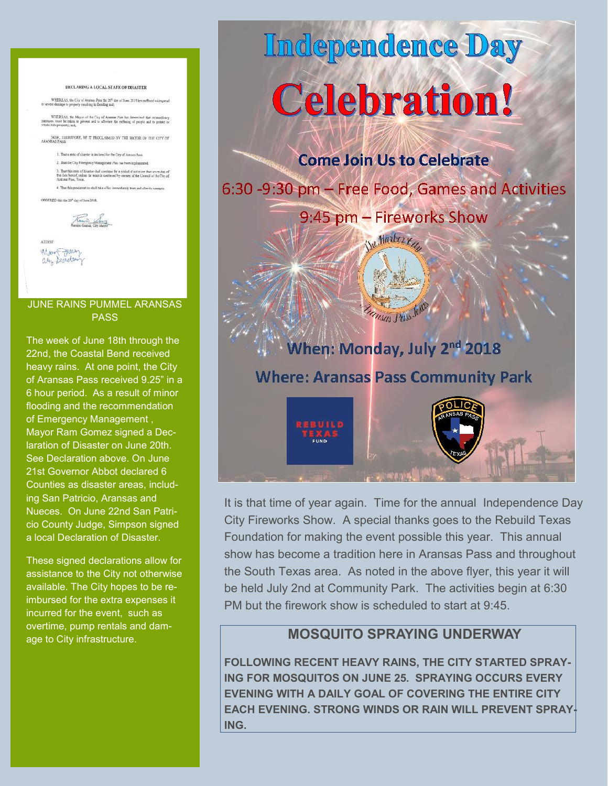#### DECLARING A LOCAL STATE OF DISASTER

WHEREAS, the City of Aransas Pata the 20<sup>th</sup> day of June, 2019 has suffered widespread

WHEREAS, the Mayor of the City of Arenses Pass last thermined that extraordinary<br>essays must be ration to prevent and to allowing the entilering of people and to protect or<br>dabilitate recentry and

NOW, THEREFORE, BE IT PROCLAIMED BY THE MAYOR OF THE CITY OF ARANSAS PASS

1. That a state of disaster is declared for the City of Antasas Pass. 2. That the City Emergency Management Plan has been implemented 3. That this state of disaster shall continue for a pariod of not more then soven day of the date beroof, unless the same is continued by consent of the Council of the City of Antonio Power.

4. That this proclamation shall take effect immediately from and after its

ORDERED this the 20<sup>th</sup> day of June 2018.



**ATTEST** Way Francy

### JUNE RAINS PUMMEL ARANSAS **PASS**

The week of June 18th through the 22nd, the Coastal Bend received heavy rains. At one point, the City of Aransas Pass received 9.25" in a 6 hour period. As a result of minor flooding and the recommendation of Emergency Management , Mayor Ram Gomez signed a Declaration of Disaster on June 20th. See Declaration above. On June 21st Governor Abbot declared 6 Counties as disaster areas, including San Patricio, Aransas and Nueces. On June 22nd San Patricio County Judge, Simpson signed a local Declaration of Disaster.

These signed declarations allow for assistance to the City not otherwise available. The City hopes to be reimbursed for the extra expenses it incurred for the event, such as overtime, pump rentals and damage to City infrastructure.

# Independence Day **Celebration!**

**Come Join Us to Celebrate** 

6:30 -9:30 pm - Free Food, Games and Activities

9:45 pm - Fireworks Show

We Harter

### When: Monday, July 2<sup>nd</sup> 2018 **Where: Aransas Pass Community Park**

Thisas Puss Jell

It is that time of year again. Time for the annual Independence Day City Fireworks Show. A special thanks goes to the Rebuild Texas Foundation for making the event possible this year. This annual show has become a tradition here in Aransas Pass and throughout the South Texas area. As noted in the above flyer, this year it will be held July 2nd at Community Park. The activities begin at 6:30 PM but the firework show is scheduled to start at 9:45.

### **MOSQUITO SPRAYING UNDERWAY**

**FOLLOWING RECENT HEAVY RAINS, THE CITY STARTED SPRAY-ING FOR MOSQUITOS ON JUNE 25. SPRAYING OCCURS EVERY EVENING WITH A DAILY GOAL OF COVERING THE ENTIRE CITY EACH EVENING. STRONG WINDS OR RAIN WILL PREVENT SPRAY-ING.**